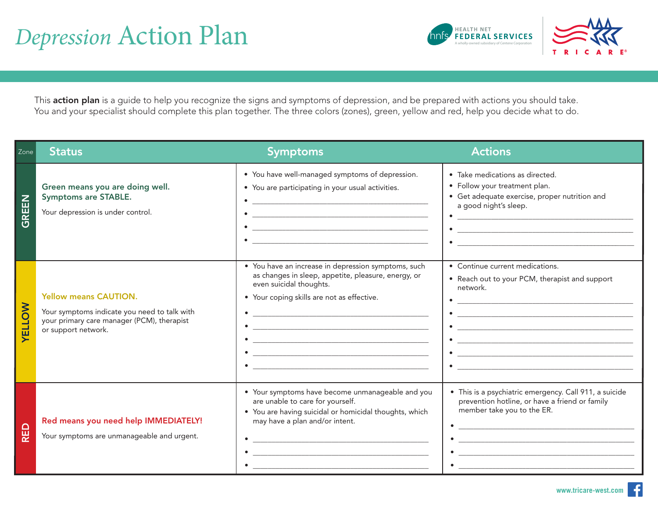# Depression Action Plan



This action plan is a guide to help you recognize the signs and symptoms of depression, and be prepared with actions you should take. You and your specialist should complete this plan together. The three colors (zones), green, yellow and red, help you decide what to do.

| Zone              | <b>Status</b>                                                                                                                                     | <b>Symptoms</b>                                                                                                                                                                                                                                                                                                                                                                                               | <b>Actions</b>                                                                                                                                                                                                                                                                                                                                                                         |
|-------------------|---------------------------------------------------------------------------------------------------------------------------------------------------|---------------------------------------------------------------------------------------------------------------------------------------------------------------------------------------------------------------------------------------------------------------------------------------------------------------------------------------------------------------------------------------------------------------|----------------------------------------------------------------------------------------------------------------------------------------------------------------------------------------------------------------------------------------------------------------------------------------------------------------------------------------------------------------------------------------|
| GREEN             | Green means you are doing well.<br><b>Symptoms are STABLE.</b><br>Your depression is under control.                                               | • You have well-managed symptoms of depression.<br>• You are participating in your usual activities.<br><u> 1980 - Jan Barbara, margaret amerikan basar dan berasal dalam basa dalam basa dalam basa dalam basa dalam basa</u><br><u> 1980 - Johann Stein, marwolaethau a bhann an t-Amhair an t-Amhair an t-Amhair an t-Amhair an t-Amhair an t-A</u><br><u> 1980 - Johann Barbara, martxa alemaniar arg</u> | · Take medications as directed.<br>• Follow your treatment plan.<br>• Get adequate exercise, proper nutrition and<br>a good night's sleep.<br><u> 1980 - Jan James James Barnett, fransk politik (d. 1980)</u>                                                                                                                                                                         |
| NO<br><b>AELT</b> | <b>Yellow means CAUTION.</b><br>Your symptoms indicate you need to talk with<br>your primary care manager (PCM), therapist<br>or support network. | • You have an increase in depression symptoms, such<br>as changes in sleep, appetite, pleasure, energy, or<br>even suicidal thoughts.<br>• Your coping skills are not as effective.<br><u> 1980 - Johann John Harry, mars ar yw i ganwys y cyfan y cyfan y cyfan y cyfan y cyfan y cyfan y cyfan y cyfa</u>                                                                                                   | • Continue current medications.<br>• Reach out to your PCM, therapist and support<br>network.<br><u> 1980 - Johann Barn, margaret eta idazlea (h. 1980).</u><br><u> 1980 - Jan James James James James James James James James James James James James James James James James J</u>                                                                                                   |
| <b>Q3N</b>        | Red means you need help IMMEDIATELY!<br>Your symptoms are unmanageable and urgent.                                                                | • Your symptoms have become unmanageable and you<br>are unable to care for yourself.<br>• You are having suicidal or homicidal thoughts, which<br>may have a plan and/or intent.<br><u> 1980 - Johann John Harry Harry Harry Harry Harry Harry Harry Harry Harry Harry Harry Harry Harry Harry Harry H</u>                                                                                                    | • This is a psychiatric emergency. Call 911, a suicide<br>prevention hotline, or have a friend or family<br>member take you to the ER.<br><u> 1980 - Johann Barbara, martxa alemaniar argametar a contra a contra a contra a contra a contra a contra a co</u><br><u> 2008 - Januar Alexandro Alexandro Alexandro Alexandro Alexandro Alexandro Alexandro Alexandro Alexandro Alex</u> |